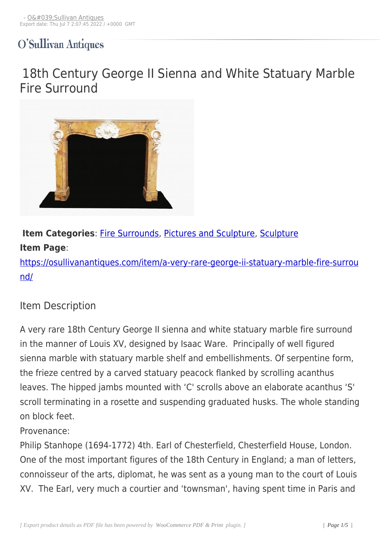## O'Sullivan Antiques

# 18th Century George II Sienna and White Statuary Marble Fire Surround



**Item Categories**: Fire Surrounds, Pictures and Sculpture, Sculpture **Item Page**:

https://osullivananti[ques.com/item](https://osullivanantiques.com/item-category/fire-surrounds/)/[a-very-rare-george-ii-st](https://osullivanantiques.com/item-category/pictures-sculpture/)[atuary-mar](https://osullivanantiques.com/item-category/pictures-sculpture/sculpture/)ble-fire-surrou nd/

### [Item](https://osullivanantiques.com/item/a-very-rare-george-ii-statuary-marble-fire-surround/) Description

A very rare 18th Century George II sienna and white statuary marble fire surround in the manner of Louis XV, designed by Isaac Ware. Principally of well figured sienna marble with statuary marble shelf and embellishments. Of serpentine form, the frieze centred by a carved statuary peacock flanked by scrolling acanthus leaves. The hipped jambs mounted with 'C' scrolls above an elaborate acanthus 'S' scroll terminating in a rosette and suspending graduated husks. The whole standing on block feet.

#### Provenance:

Philip Stanhope (1694-1772) 4th. Earl of Chesterfield, Chesterfield House, London. One of the most important figures of the 18th Century in England; a man of letters, connoisseur of the arts, diplomat, he was sent as a young man to the court of Louis XV. The Earl, very much a courtier and 'townsman', having spent time in Paris and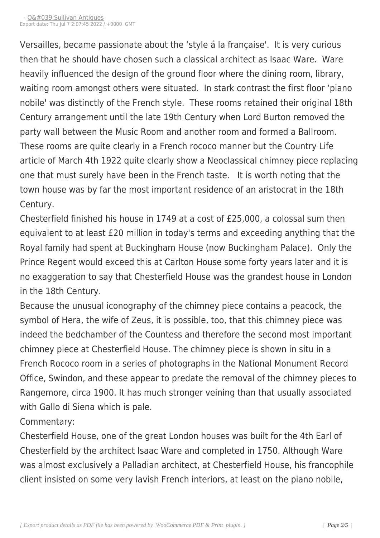V[ersailles, became pa](http://osullivanantiques.com/product/a-very-rare-george-ii-statuary-marble-fire-surround/)ssionate about the 'style á la française'. It is very curious then that he should have chosen such a classical architect as Isaac Ware. Ware heavily influenced the design of the ground floor where the dining room, library, waiting room amongst others were situated. In stark contrast the first floor 'piano nobile' was distinctly of the French style. These rooms retained their original 18th Century arrangement until the late 19th Century when Lord Burton removed the party wall between the Music Room and another room and formed a Ballroom. These rooms are quite clearly in a French rococo manner but the Country Life article of March 4th 1922 quite clearly show a Neoclassical chimney piece replacing one that must surely have been in the French taste. It is worth noting that the town house was by far the most important residence of an aristocrat in the 18th Century.

Chesterfield finished his house in 1749 at a cost of £25,000, a colossal sum then equivalent to at least £20 million in today's terms and exceeding anything that the Royal family had spent at Buckingham House (now Buckingham Palace). Only the Prince Regent would exceed this at Carlton House some forty years later and it is no exaggeration to say that Chesterfield House was the grandest house in London in the 18th Century.

Because the unusual iconography of the chimney piece contains a peacock, the symbol of Hera, the wife of Zeus, it is possible, too, that this chimney piece was indeed the bedchamber of the Countess and therefore the second most important chimney piece at Chesterfield House. The chimney piece is shown in situ in a French Rococo room in a series of photographs in the National Monument Record Office, Swindon, and these appear to predate the removal of the chimney pieces to Rangemore, circa 1900. It has much stronger veining than that usually associated with Gallo di Siena which is pale.

Commentary:

Chesterfield House, one of the great London houses was built for the 4th Earl of Chesterfield by the architect Isaac Ware and completed in 1750. Although Ware was almost exclusively a Palladian architect, at Chesterfield House, his francophile client insisted on some very lavish French interiors, at least on the piano nobile,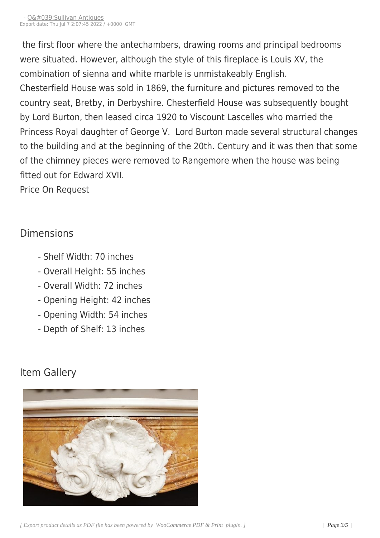t[he first floor where](http://osullivanantiques.com/product/a-very-rare-george-ii-statuary-marble-fire-surround/) the antechambers, drawing rooms and principal bedrooms were situated. However, although the style of this fireplace is Louis XV, the combination of sienna and white marble is unmistakeably English. Chesterfield House was sold in 1869, the furniture and pictures removed to the country seat, Bretby, in Derbyshire. Chesterfield House was subsequently bought by Lord Burton, then leased circa 1920 to Viscount Lascelles who married the Princess Royal daughter of George V. Lord Burton made several structural changes to the building and at the beginning of the 20th. Century and it was then that some of the chimney pieces were removed to Rangemore when the house was being fitted out for Edward XVII.

Price On Request

## **Dimensions**

- Shelf Width: 70 inches
- Overall Height: 55 inches
- Overall Width: 72 inches
- Opening Height: 42 inches
- Opening Width: 54 inches
- Depth of Shelf: 13 inches

## Item Gallery

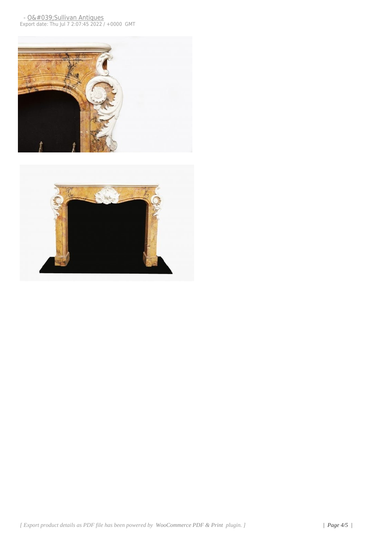